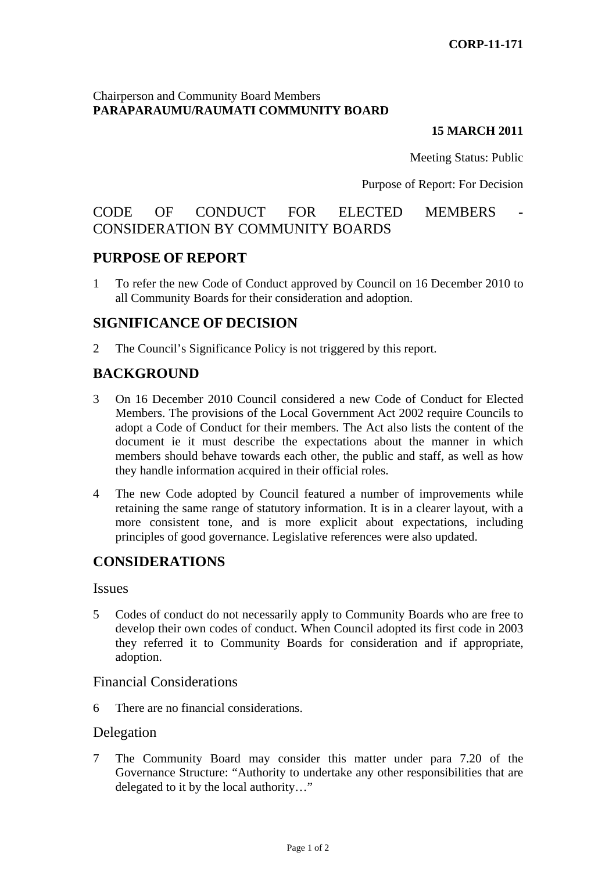### Chairperson and Community Board Members **PARAPARAUMU/RAUMATI COMMUNITY BOARD**

#### **15 MARCH 2011**

Meeting Status: Public

#### Purpose of Report: For Decision

# CODE OF CONDUCT FOR ELECTED MEMBERS CONSIDERATION BY COMMUNITY BOARDS

## **PURPOSE OF REPORT**

1 To refer the new Code of Conduct approved by Council on 16 December 2010 to all Community Boards for their consideration and adoption.

## **SIGNIFICANCE OF DECISION**

2 The Council's Significance Policy is not triggered by this report.

# **BACKGROUND**

- 3 On 16 December 2010 Council considered a new Code of Conduct for Elected Members. The provisions of the Local Government Act 2002 require Councils to adopt a Code of Conduct for their members. The Act also lists the content of the document ie it must describe the expectations about the manner in which members should behave towards each other, the public and staff, as well as how they handle information acquired in their official roles.
- 4 The new Code adopted by Council featured a number of improvements while retaining the same range of statutory information. It is in a clearer layout, with a more consistent tone, and is more explicit about expectations, including principles of good governance. Legislative references were also updated.

## **CONSIDERATIONS**

#### Issues

5 Codes of conduct do not necessarily apply to Community Boards who are free to develop their own codes of conduct. When Council adopted its first code in 2003 they referred it to Community Boards for consideration and if appropriate, adoption.

#### Financial Considerations

6 There are no financial considerations.

### Delegation

7 The Community Board may consider this matter under para 7.20 of the Governance Structure: "Authority to undertake any other responsibilities that are delegated to it by the local authority…"